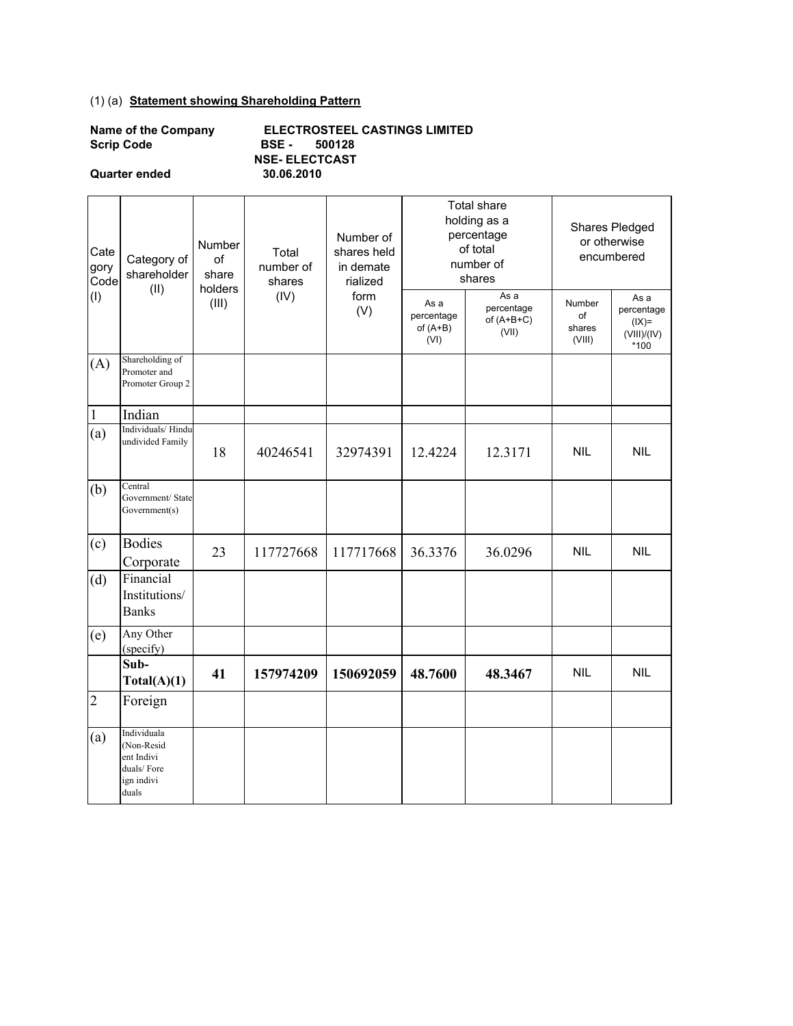## (1) (a) **Statement showing Shareholding Pattern**

| <b>Name of the Company</b> |  |
|----------------------------|--|
| <b>Scrip Code</b>          |  |

**Quarter ended** 

**NSE- ELECTCAST**<br>30.06.2010 **Scrip Code BSE - 500128 ELECTROSTEEL CASTINGS LIMITED** 

| Cate<br>gory<br>Code | Category of<br>shareholder<br>(II)                                           | Number<br>of<br>share<br>holders | Total<br>number of<br>shares | Number of<br>shares held<br>in demate<br>rialized<br>form<br>(V) |                                          | Total share<br>holding as a<br>percentage<br>of total<br>number of<br>shares | Shares Pledged<br>or otherwise<br>encumbered |                                                      |
|----------------------|------------------------------------------------------------------------------|----------------------------------|------------------------------|------------------------------------------------------------------|------------------------------------------|------------------------------------------------------------------------------|----------------------------------------------|------------------------------------------------------|
| (1)                  |                                                                              | (III)                            | (IV)                         |                                                                  | As a<br>percentage<br>of $(A+B)$<br>(VI) | As a<br>percentage<br>of $(A+B+C)$<br>(VII)                                  | Number<br>of<br>shares<br>(VIII)             | As a<br>percentage<br>$I(X)=$<br>(VIII)/(IV)<br>*100 |
| (A)                  | Shareholding of<br>Promoter and<br>Promoter Group 2                          |                                  |                              |                                                                  |                                          |                                                                              |                                              |                                                      |
| $\mathbf{1}$         | Indian                                                                       |                                  |                              |                                                                  |                                          |                                                                              |                                              |                                                      |
| (a)                  | Individuals/Hindu<br>undivided Family                                        | 18                               | 40246541                     | 32974391                                                         | 12.4224                                  | 12.3171                                                                      | <b>NIL</b>                                   | <b>NIL</b>                                           |
| (b)                  | Central<br>Government/ State<br>Government(s)                                |                                  |                              |                                                                  |                                          |                                                                              |                                              |                                                      |
| (c)                  | <b>Bodies</b><br>Corporate                                                   | 23                               | 117727668                    | 117717668                                                        | 36.3376                                  | 36.0296                                                                      | <b>NIL</b>                                   | <b>NIL</b>                                           |
| (d)                  | Financial<br>Institutions/<br><b>Banks</b>                                   |                                  |                              |                                                                  |                                          |                                                                              |                                              |                                                      |
| (e)                  | Any Other<br>(specify)                                                       |                                  |                              |                                                                  |                                          |                                                                              |                                              |                                                      |
|                      | Sub-<br>Total(A)(1)                                                          | 41                               | 157974209                    | 150692059                                                        | 48.7600                                  | 48.3467                                                                      | <b>NIL</b>                                   | <b>NIL</b>                                           |
| $\overline{2}$       | Foreign                                                                      |                                  |                              |                                                                  |                                          |                                                                              |                                              |                                                      |
| (a)                  | Individuala<br>(Non-Resid<br>ent Indivi<br>duals/Fore<br>ign indivi<br>duals |                                  |                              |                                                                  |                                          |                                                                              |                                              |                                                      |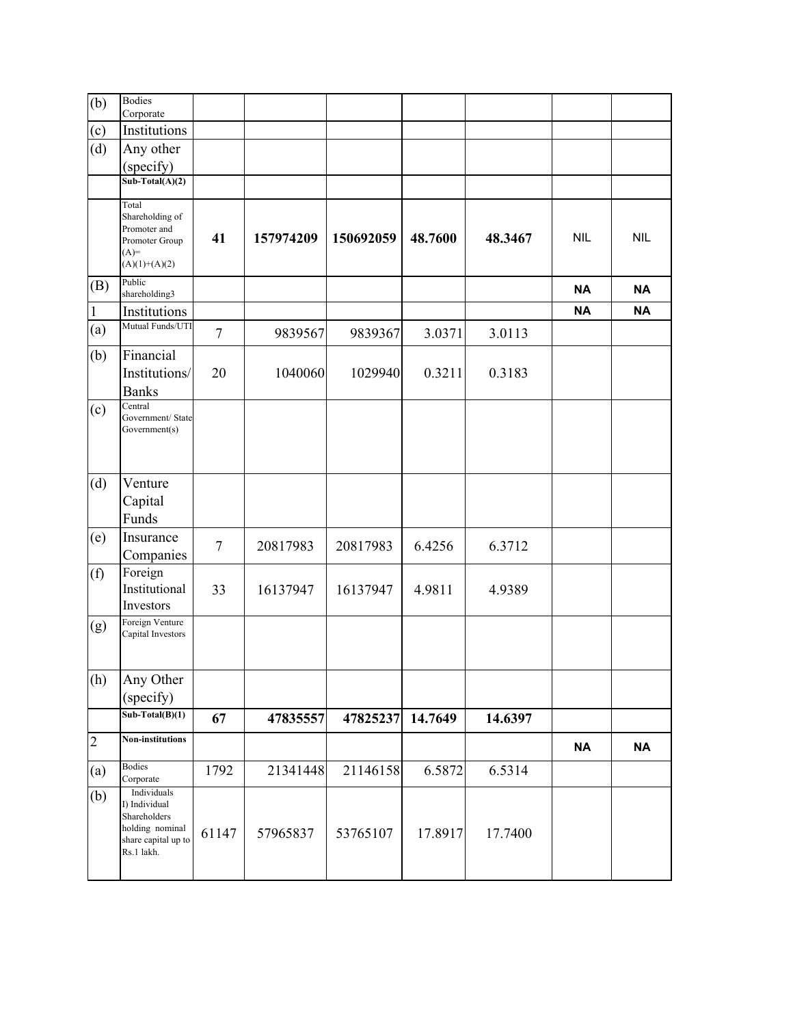| (b)            | <b>Bodies</b><br>Corporate                                                                           |                |           |           |         |         |            |            |
|----------------|------------------------------------------------------------------------------------------------------|----------------|-----------|-----------|---------|---------|------------|------------|
| (c)            | Institutions                                                                                         |                |           |           |         |         |            |            |
| (d)            | Any other                                                                                            |                |           |           |         |         |            |            |
|                | (specify)                                                                                            |                |           |           |         |         |            |            |
|                | $Sub-Total(A)(2)$                                                                                    |                |           |           |         |         |            |            |
|                | Total<br>Shareholding of<br>Promoter and<br>Promoter Group<br>$(A)=$<br>$(A)(1)+(A)(2)$              | 41             | 157974209 | 150692059 | 48.7600 | 48.3467 | <b>NIL</b> | <b>NIL</b> |
| (B)            | Public<br>shareholding3                                                                              |                |           |           |         |         | <b>NA</b>  | <b>NA</b>  |
| $\vert$ 1      | Institutions                                                                                         |                |           |           |         |         | <b>NA</b>  | <b>NA</b>  |
| (a)            | Mutual Funds/UTI                                                                                     | $\overline{7}$ | 9839567   | 9839367   | 3.0371  | 3.0113  |            |            |
| (b)            | Financial<br>Institutions/<br><b>Banks</b>                                                           | 20             | 1040060   | 1029940   | 0.3211  | 0.3183  |            |            |
| (c)            | Central<br>Government/ State<br>Government(s)                                                        |                |           |           |         |         |            |            |
| (d)            | Venture                                                                                              |                |           |           |         |         |            |            |
|                | Capital                                                                                              |                |           |           |         |         |            |            |
|                | Funds                                                                                                |                |           |           |         |         |            |            |
| (e)            | Insurance<br>Companies                                                                               | $\tau$         | 20817983  | 20817983  | 6.4256  | 6.3712  |            |            |
| (f)            | Foreign                                                                                              |                |           |           |         |         |            |            |
|                | Institutional<br>Investors                                                                           | 33             | 16137947  | 16137947  | 4.9811  | 4.9389  |            |            |
| (g)            | Foreign Venture<br>Capital Investors                                                                 |                |           |           |         |         |            |            |
| (h)            | Any Other                                                                                            |                |           |           |         |         |            |            |
|                | (specify)                                                                                            |                |           |           |         |         |            |            |
|                | $Sub-Total(B)(1)$                                                                                    | 67             | 47835557  | 47825237  | 14.7649 | 14.6397 |            |            |
| $\overline{2}$ | <b>Non-institutions</b>                                                                              |                |           |           |         |         | <b>NA</b>  | <b>NA</b>  |
| (a)            | <b>Bodies</b><br>Corporate                                                                           | 1792           | 21341448  | 21146158  | 6.5872  | 6.5314  |            |            |
| (b)            | Individuals<br>I) Individual<br>Shareholders<br>holding nominal<br>share capital up to<br>Rs.1 lakh. | 61147          | 57965837  | 53765107  | 17.8917 | 17.7400 |            |            |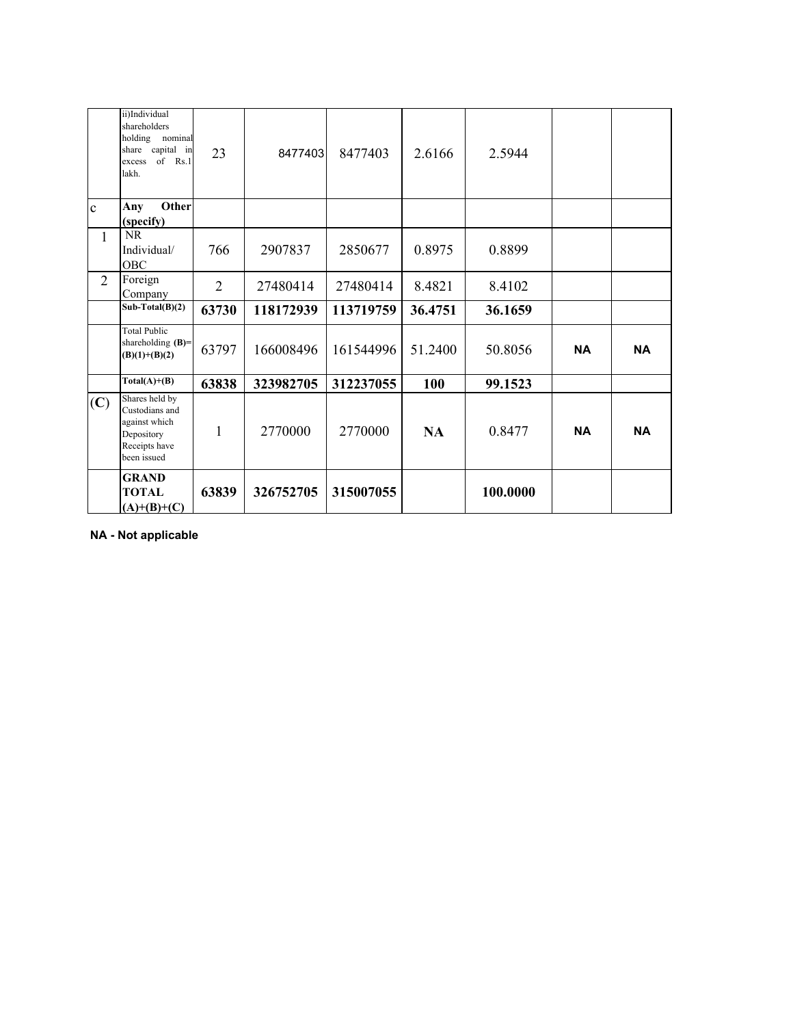|                | ii)Individual<br>shareholders<br>holding nominal<br>share capital in<br>of $Rs.1$<br>excess<br>lakh. | 23             | 8477403   | 8477403   | 2.6166    | 2.5944   |           |           |
|----------------|------------------------------------------------------------------------------------------------------|----------------|-----------|-----------|-----------|----------|-----------|-----------|
| $\mathbf{c}$   | Other<br>Any<br>(specify)                                                                            |                |           |           |           |          |           |           |
| $\mathbf{1}$   | <b>NR</b><br>Individual/<br><b>OBC</b>                                                               | 766            | 2907837   | 2850677   | 0.8975    | 0.8899   |           |           |
| $\overline{2}$ | Foreign<br>Company                                                                                   | $\overline{2}$ | 27480414  | 27480414  | 8.4821    | 8.4102   |           |           |
|                | $Sub-Total(B)(2)$                                                                                    | 63730          | 118172939 | 113719759 | 36.4751   | 36.1659  |           |           |
|                | <b>Total Public</b><br>shareholding $(B)$ =<br>$(B)(1)+(B)(2)$                                       | 63797          | 166008496 | 161544996 | 51.2400   | 50.8056  | <b>NA</b> | <b>NA</b> |
|                | $Total(A)+(B)$                                                                                       | 63838          | 323982705 | 312237055 | 100       | 99.1523  |           |           |
| (C)            | Shares held by<br>Custodians and<br>against which<br>Depository<br>Receipts have<br>been issued      | 1              | 2770000   | 2770000   | <b>NA</b> | 0.8477   | <b>NA</b> | <b>NA</b> |
|                | <b>GRAND</b><br><b>TOTAL</b><br>$(A)+(B)+(C)$                                                        | 63839          | 326752705 | 315007055 |           | 100.0000 |           |           |

**NA - Not applicable**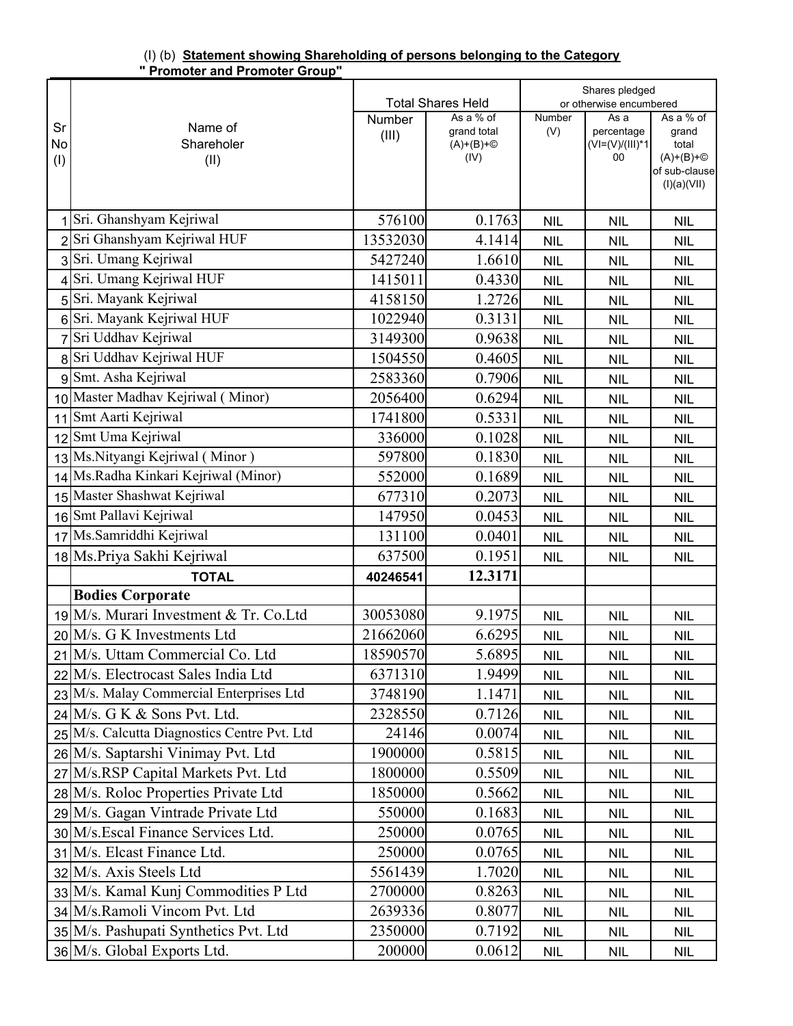| (I) (b) Statement showing Shareholding of persons belonging to the Category |  |  |
|-----------------------------------------------------------------------------|--|--|
| " Promoter and Promoter Group"                                              |  |  |

|     |                                              |          | <b>Total Shares Held</b> |            | Shares pledged<br>or otherwise encumbered |                                       |
|-----|----------------------------------------------|----------|--------------------------|------------|-------------------------------------------|---------------------------------------|
|     |                                              | Number   | As a % of                | Number     | As a                                      | As a % of                             |
| Sr  | Name of                                      | (III)    | grand total              | (V)        | percentage                                | grand                                 |
| No  | Shareholer                                   |          | $(A)+(B)+\circled{}$     |            | $(V = (V)/(III)^*1)$                      | total                                 |
| (1) | (II)                                         |          | (IV)                     |            | 00                                        | $(A)+(B)+\circled{}$<br>of sub-clause |
|     |                                              |          |                          |            |                                           | (I)(a)(VII)                           |
|     |                                              |          |                          |            |                                           |                                       |
|     | Sri. Ghanshyam Kejriwal                      | 576100   | 0.1763                   | <b>NIL</b> | <b>NIL</b>                                | <b>NIL</b>                            |
|     | Sri Ghanshyam Kejriwal HUF                   | 13532030 | 4.1414                   | <b>NIL</b> | <b>NIL</b>                                | <b>NIL</b>                            |
|     | 3 Sri. Umang Kejriwal                        | 5427240  | 1.6610                   | <b>NIL</b> | <b>NIL</b>                                | <b>NIL</b>                            |
|     | Sri. Umang Kejriwal HUF                      | 1415011  | 0.4330                   | <b>NIL</b> | <b>NIL</b>                                | <b>NIL</b>                            |
|     | 5 Sri. Mayank Kejriwal                       | 4158150  | 1.2726                   | <b>NIL</b> | <b>NIL</b>                                | <b>NIL</b>                            |
|     | 6 Sri. Mayank Kejriwal HUF                   | 1022940  | 0.3131                   | <b>NIL</b> | <b>NIL</b>                                | <b>NIL</b>                            |
|     | 7 Sri Uddhav Kejriwal                        | 3149300  | 0.9638                   | <b>NIL</b> | <b>NIL</b>                                | <b>NIL</b>                            |
|     | 8 Sri Uddhav Kejriwal HUF                    | 1504550  | 0.4605                   | <b>NIL</b> | <b>NIL</b>                                | <b>NIL</b>                            |
|     | 9 Smt. Asha Kejriwal                         | 2583360  | 0.7906                   | <b>NIL</b> | <b>NIL</b>                                | <b>NIL</b>                            |
|     | 10 Master Madhav Kejriwal (Minor)            | 2056400  | 0.6294                   | <b>NIL</b> | <b>NIL</b>                                | <b>NIL</b>                            |
| 11  | Smt Aarti Kejriwal                           | 1741800  | 0.5331                   | <b>NIL</b> | <b>NIL</b>                                | <b>NIL</b>                            |
| 12  | Smt Uma Kejriwal                             | 336000   | 0.1028                   | <b>NIL</b> | <b>NIL</b>                                | <b>NIL</b>                            |
|     | 13 Ms. Nityangi Kejriwal (Minor)             | 597800   | 0.1830                   | <b>NIL</b> | <b>NIL</b>                                | <b>NIL</b>                            |
|     | 14 Ms.Radha Kinkari Kejriwal (Minor)         | 552000   | 0.1689                   | <b>NIL</b> | <b>NIL</b>                                | <b>NIL</b>                            |
|     | 15 Master Shashwat Kejriwal                  | 677310   | 0.2073                   | <b>NIL</b> | <b>NIL</b>                                | <b>NIL</b>                            |
|     | 16 Smt Pallavi Kejriwal                      | 147950   | 0.0453                   | <b>NIL</b> | <b>NIL</b>                                | <b>NIL</b>                            |
|     | 17 Ms. Samriddhi Kejriwal                    | 131100   | 0.0401                   | <b>NIL</b> | <b>NIL</b>                                | <b>NIL</b>                            |
|     | 18 Ms.Priya Sakhi Kejriwal                   | 637500   | 0.1951                   | <b>NIL</b> | <b>NIL</b>                                | <b>NIL</b>                            |
|     | <b>TOTAL</b>                                 | 40246541 | 12.3171                  |            |                                           |                                       |
|     | <b>Bodies Corporate</b>                      |          |                          |            |                                           |                                       |
|     | 19 M/s. Murari Investment & Tr. Co. Ltd      | 30053080 | 9.1975                   | <b>NIL</b> | <b>NIL</b>                                | <b>NIL</b>                            |
|     | 20 M/s. G K Investments Ltd                  | 21662060 | 6.6295                   | <b>NIL</b> | <b>NIL</b>                                | <b>NIL</b>                            |
|     | 21 M/s. Uttam Commercial Co. Ltd             | 18590570 | 5.6895                   | <b>NIL</b> | <b>NIL</b>                                | <b>NIL</b>                            |
|     | 22 M/s. Electrocast Sales India Ltd          | 6371310  | 1.9499                   | <b>NIL</b> | <b>NIL</b>                                | <b>NIL</b>                            |
|     | 23 M/s. Malay Commercial Enterprises Ltd     | 3748190  | 1.1471                   | <b>NIL</b> | <b>NIL</b>                                | <b>NIL</b>                            |
|     | $24$ M/s. G K & Sons Pvt. Ltd.               | 2328550  | 0.7126                   | <b>NIL</b> | <b>NIL</b>                                | <b>NIL</b>                            |
|     | 25 M/s. Calcutta Diagnostics Centre Pvt. Ltd | 24146    | 0.0074                   | <b>NIL</b> | <b>NIL</b>                                | <b>NIL</b>                            |
|     | 26 M/s. Saptarshi Vinimay Pvt. Ltd           | 1900000  | 0.5815                   | <b>NIL</b> | <b>NIL</b>                                | <b>NIL</b>                            |
|     | 27 M/s.RSP Capital Markets Pvt. Ltd          | 1800000  | 0.5509                   | <b>NIL</b> | <b>NIL</b>                                | <b>NIL</b>                            |
|     | 28 M/s. Roloc Properties Private Ltd         | 1850000  | 0.5662                   | <b>NIL</b> | <b>NIL</b>                                | <b>NIL</b>                            |
|     | 29 M/s. Gagan Vintrade Private Ltd           | 550000   | 0.1683                   | <b>NIL</b> | <b>NIL</b>                                | <b>NIL</b>                            |
|     | 30 M/s. Escal Finance Services Ltd.          | 250000   | 0.0765                   | <b>NIL</b> | <b>NIL</b>                                | <b>NIL</b>                            |
|     | 31 M/s. Elcast Finance Ltd.                  | 250000   | 0.0765                   | <b>NIL</b> | <b>NIL</b>                                | <b>NIL</b>                            |
|     | 32 M/s. Axis Steels Ltd                      | 5561439  | 1.7020                   | <b>NIL</b> | <b>NIL</b>                                | <b>NIL</b>                            |
|     | 33 M/s. Kamal Kunj Commodities P Ltd         | 2700000  | 0.8263                   | <b>NIL</b> | <b>NIL</b>                                | <b>NIL</b>                            |
|     | 34 M/s.Ramoli Vincom Pvt. Ltd                | 2639336  | 0.8077                   | <b>NIL</b> | <b>NIL</b>                                | <b>NIL</b>                            |
|     | 35 M/s. Pashupati Synthetics Pvt. Ltd        | 2350000  | 0.7192                   | <b>NIL</b> | <b>NIL</b>                                | <b>NIL</b>                            |
|     | 36 M/s. Global Exports Ltd.                  | 200000   | 0.0612                   | <b>NIL</b> | <b>NIL</b>                                | <b>NIL</b>                            |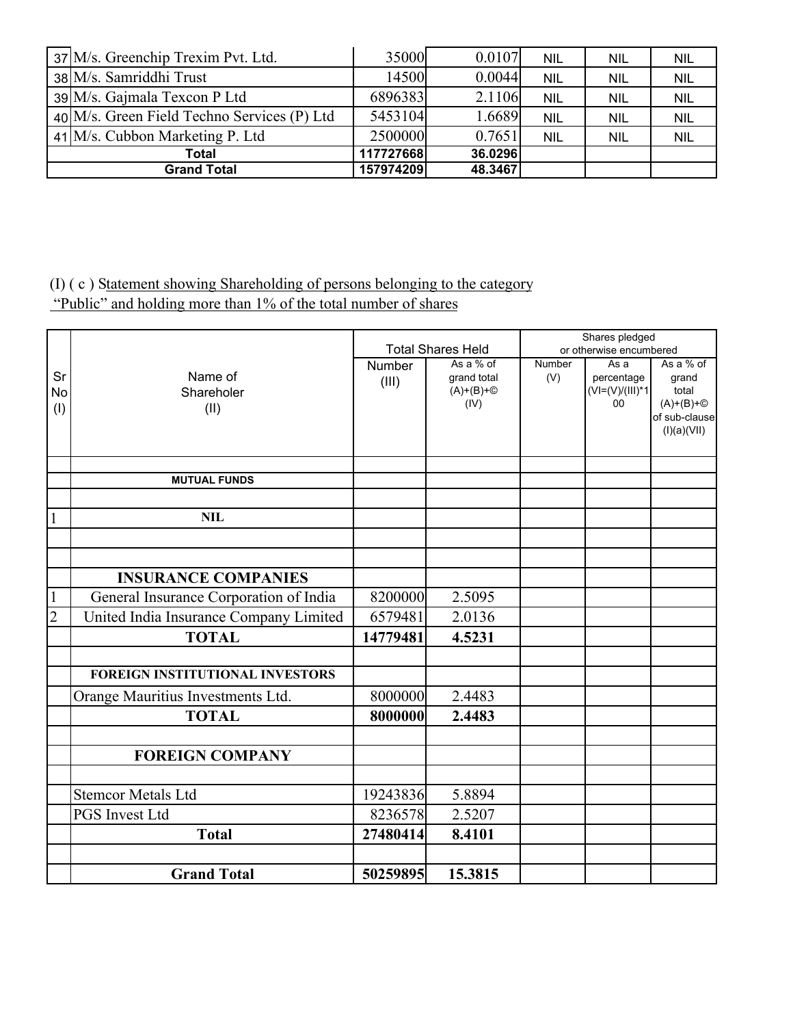| 37 M/s. Greenchip Trexim Pvt. Ltd.          | 35000     | 0.0107  | <b>NIL</b> | <b>NIL</b> | <b>NIL</b> |
|---------------------------------------------|-----------|---------|------------|------------|------------|
| 38 M/s. Samriddhi Trust                     | 14500     | 0.0044  | <b>NIL</b> | <b>NIL</b> | <b>NIL</b> |
| $39$ M/s. Gajmala Texcon P Ltd              | 6896383   | 2.1106  | <b>NIL</b> | <b>NIL</b> | <b>NIL</b> |
| 40 M/s. Green Field Techno Services (P) Ltd | 5453104   | 1.6689  | <b>NIL</b> | <b>NIL</b> | <b>NIL</b> |
| 41 M/s. Cubbon Marketing P. Ltd             | 2500000   | 0.7651  | <b>NIL</b> | <b>NIL</b> | <b>NIL</b> |
| Total                                       | 117727668 | 36.0296 |            |            |            |
| <b>Grand Total</b>                          | 157974209 | 48.3467 |            |            |            |

## (I) ( c ) Statement showing Shareholding of persons belonging to the category

"Public" and holding more than 1% of the total number of shares

|                |                                        |          |                          |                      | Shares pledged          |                      |
|----------------|----------------------------------------|----------|--------------------------|----------------------|-------------------------|----------------------|
|                |                                        |          | <b>Total Shares Held</b> |                      | or otherwise encumbered |                      |
| Sr             | Name of                                | Number   | As a % of<br>grand total | <b>Number</b><br>(V) | As a<br>percentage      | As a % of<br>grand   |
| No             | Shareholer                             | (III)    | $(A)+(B)+\circled{}$     |                      | $(VI=(V)/(III)*1$       | total                |
| (1)            | (II)                                   |          | (IV)                     |                      | 00                      | $(A)+(B)+\circled{}$ |
|                |                                        |          |                          |                      |                         | of sub-clause        |
|                |                                        |          |                          |                      |                         | (I)(a)(VII)          |
|                |                                        |          |                          |                      |                         |                      |
|                | <b>MUTUAL FUNDS</b>                    |          |                          |                      |                         |                      |
|                |                                        |          |                          |                      |                         |                      |
| $\mathbf{1}$   | <b>NIL</b>                             |          |                          |                      |                         |                      |
|                |                                        |          |                          |                      |                         |                      |
|                |                                        |          |                          |                      |                         |                      |
|                | <b>INSURANCE COMPANIES</b>             |          |                          |                      |                         |                      |
| $\mathbf{1}$   | General Insurance Corporation of India | 8200000  | 2.5095                   |                      |                         |                      |
| $\overline{2}$ | United India Insurance Company Limited | 6579481  | 2.0136                   |                      |                         |                      |
|                | <b>TOTAL</b>                           | 14779481 | 4.5231                   |                      |                         |                      |
|                |                                        |          |                          |                      |                         |                      |
|                | <b>FOREIGN INSTITUTIONAL INVESTORS</b> |          |                          |                      |                         |                      |
|                | Orange Mauritius Investments Ltd.      | 8000000  | 2.4483                   |                      |                         |                      |
|                | <b>TOTAL</b>                           | 8000000  | 2.4483                   |                      |                         |                      |
|                |                                        |          |                          |                      |                         |                      |
|                | <b>FOREIGN COMPANY</b>                 |          |                          |                      |                         |                      |
|                | <b>Stemcor Metals Ltd</b>              | 19243836 | 5.8894                   |                      |                         |                      |
|                |                                        |          |                          |                      |                         |                      |
|                | <b>PGS</b> Invest Ltd                  | 8236578  | 2.5207                   |                      |                         |                      |
|                | <b>Total</b>                           | 27480414 | 8.4101                   |                      |                         |                      |
|                |                                        |          |                          |                      |                         |                      |
|                | <b>Grand Total</b>                     | 50259895 | 15.3815                  |                      |                         |                      |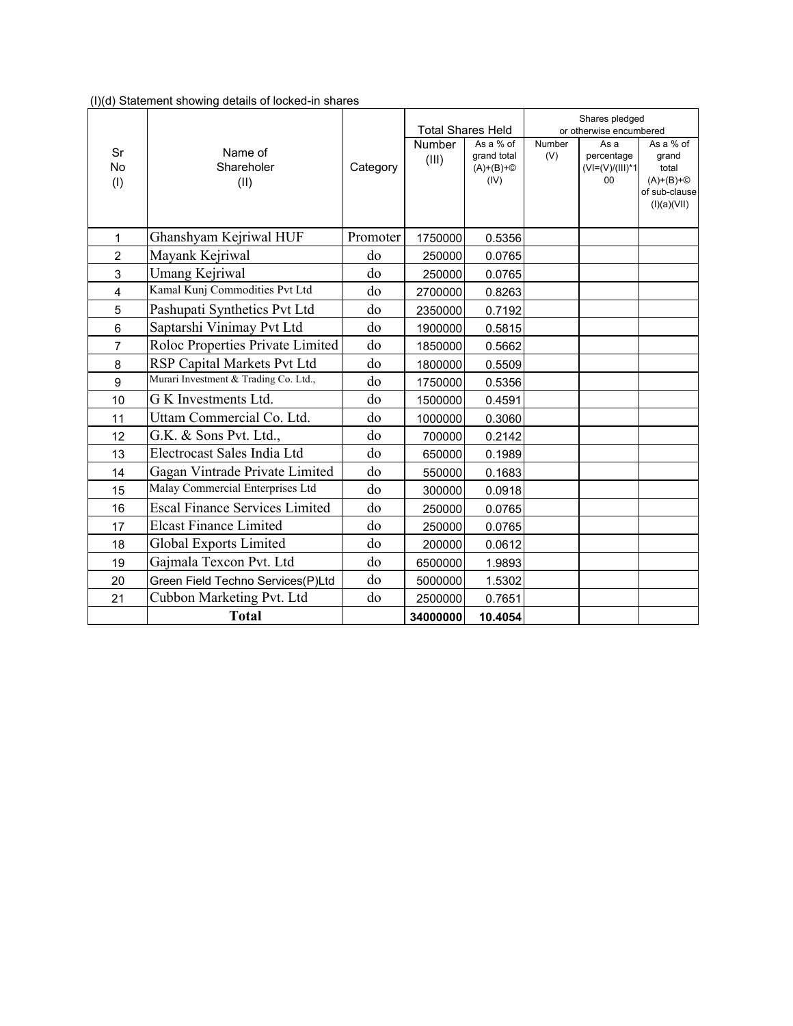| (I)(d) Statement showing details of locked-in shares |  |  |  |  |  |  |  |  |  |
|------------------------------------------------------|--|--|--|--|--|--|--|--|--|
|------------------------------------------------------|--|--|--|--|--|--|--|--|--|

|                        |                                       |          | <b>Total Shares Held</b> |                                                          |               | Shares pledged<br>or otherwise encumbered     |                                                                                     |
|------------------------|---------------------------------------|----------|--------------------------|----------------------------------------------------------|---------------|-----------------------------------------------|-------------------------------------------------------------------------------------|
| Sr<br><b>No</b><br>(1) | Name of<br>Shareholer<br>(II)         | Category | Number<br>(III)          | As a % of<br>grand total<br>$(A)+(B)+\circled{}$<br>(IV) | Number<br>(V) | As a<br>percentage<br>$(VI=(V)/(III)*1$<br>00 | As a % of<br>grand<br>total<br>$(A)+(B)+\circled{}$<br>of sub-clause<br>(I)(a)(VII) |
| 1                      | Ghanshyam Kejriwal HUF                | Promoter | 1750000                  | 0.5356                                                   |               |                                               |                                                                                     |
| 2                      | Mayank Kejriwal                       | do       | 250000                   | 0.0765                                                   |               |                                               |                                                                                     |
| 3                      | Umang Kejriwal                        | do       | 250000                   | 0.0765                                                   |               |                                               |                                                                                     |
| 4                      | Kamal Kunj Commodities Pvt Ltd        | do       | 2700000                  | 0.8263                                                   |               |                                               |                                                                                     |
| 5                      | Pashupati Synthetics Pvt Ltd          | do       | 2350000                  | 0.7192                                                   |               |                                               |                                                                                     |
| $6\phantom{1}$         | Saptarshi Vinimay Pvt Ltd             | do       | 1900000                  | 0.5815                                                   |               |                                               |                                                                                     |
| $\overline{7}$         | Roloc Properties Private Limited      | do       | 1850000                  | 0.5662                                                   |               |                                               |                                                                                     |
| 8                      | RSP Capital Markets Pvt Ltd           | do       | 1800000                  | 0.5509                                                   |               |                                               |                                                                                     |
| 9                      | Murari Investment & Trading Co. Ltd., | do       | 1750000                  | 0.5356                                                   |               |                                               |                                                                                     |
| 10                     | G K Investments Ltd.                  | do       | 1500000                  | 0.4591                                                   |               |                                               |                                                                                     |
| 11                     | Uttam Commercial Co. Ltd.             | do       | 1000000                  | 0.3060                                                   |               |                                               |                                                                                     |
| 12                     | G.K. & Sons Pvt. Ltd.,                | do       | 700000                   | 0.2142                                                   |               |                                               |                                                                                     |
| 13                     | Electrocast Sales India Ltd           | do       | 650000                   | 0.1989                                                   |               |                                               |                                                                                     |
| 14                     | Gagan Vintrade Private Limited        | do       | 550000                   | 0.1683                                                   |               |                                               |                                                                                     |
| 15                     | Malay Commercial Enterprises Ltd      | do       | 300000                   | 0.0918                                                   |               |                                               |                                                                                     |
| 16                     | <b>Escal Finance Services Limited</b> | do       | 250000                   | 0.0765                                                   |               |                                               |                                                                                     |
| 17                     | <b>Elcast Finance Limited</b>         | do       | 250000                   | 0.0765                                                   |               |                                               |                                                                                     |
| 18                     | <b>Global Exports Limited</b>         | do       | 200000                   | 0.0612                                                   |               |                                               |                                                                                     |
| 19                     | Gajmala Texcon Pvt. Ltd               | do       | 6500000                  | 1.9893                                                   |               |                                               |                                                                                     |
| 20                     | Green Field Techno Services(P)Ltd     | do       | 5000000                  | 1.5302                                                   |               |                                               |                                                                                     |
| 21                     | Cubbon Marketing Pvt. Ltd             | do       | 2500000                  | 0.7651                                                   |               |                                               |                                                                                     |
|                        | <b>Total</b>                          |          | 34000000                 | 10.4054                                                  |               |                                               |                                                                                     |